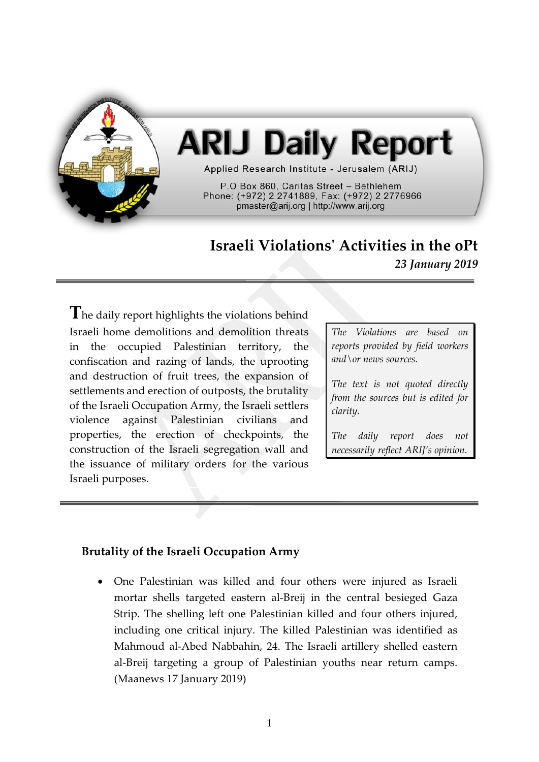

# **ARIJ Daily Report**

Applied Research Institute - Jerusalem (ARIJ)

P.O Box 860, Caritas Street - Bethlehem Phone: (+972) 2 2741889, Fax: (+972) 2 2776966 pmaster@arij.org | http://www.arij.org

# **Israeli Violations' Activities in the oPt** *23 January 2019*

**T**he daily report highlights the violations behind Israeli home demolitions and demolition threats in the occupied Palestinian territory, the confiscation and razing of lands, the uprooting and destruction of fruit trees, the expansion of settlements and erection of outposts, the brutality of the Israeli Occupation Army, the Israeli settlers violence against Palestinian civilians and properties, the erection of checkpoints, the construction of the Israeli segregation wall and the issuance of military orders for the various Israeli purposes.

*The Violations are based on reports provided by field workers and\or news sources.*

*The text is not quoted directly from the sources but is edited for clarity.*

*The daily report does not necessarily reflect ARIJ's opinion.*

## **Brutality of the Israeli Occupation Army**

• One Palestinian was killed and four others were injured as Israeli mortar shells targeted eastern al-Breij in the central besieged Gaza Strip. The shelling left one Palestinian killed and four others injured, including one critical injury. The killed Palestinian was identified as Mahmoud al-Abed Nabbahin, 24. The Israeli artillery shelled eastern al-Breij targeting a group of Palestinian youths near return camps. (Maanews 17 January 2019)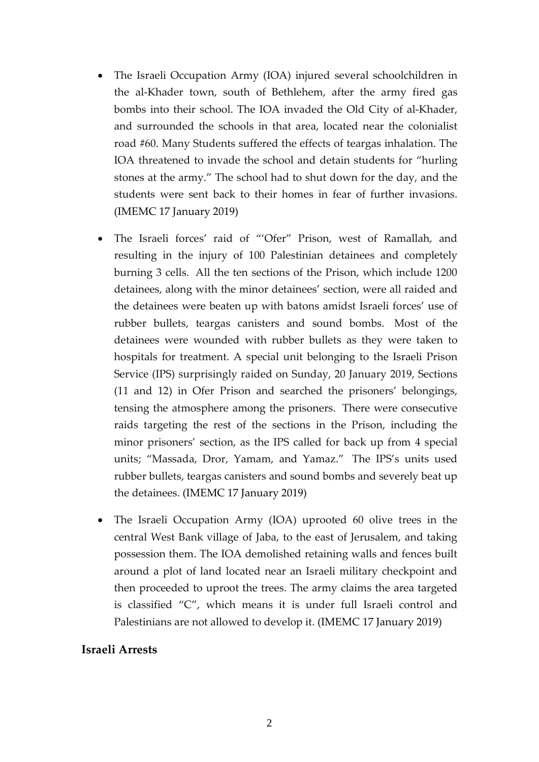- The Israeli Occupation Army (IOA) injured several schoolchildren in the al-Khader town, south of Bethlehem, after the army fired gas bombs into their school. The IOA invaded the Old City of al-Khader, and surrounded the schools in that area, located near the colonialist road #60. Many Students suffered the effects of teargas inhalation. The IOA threatened to invade the school and detain students for "hurling stones at the army." The school had to shut down for the day, and the students were sent back to their homes in fear of further invasions. (IMEMC 17 January 2019)
- The Israeli forces' raid of "'Ofer" Prison, west of Ramallah, and resulting in the injury of 100 Palestinian detainees and completely burning 3 cells. All the ten sections of the Prison, which include 1200 detainees, along with the minor detainees' section, were all raided and the detainees were beaten up with batons amidst Israeli forces' use of rubber bullets, teargas canisters and sound bombs. Most of the detainees were wounded with rubber bullets as they were taken to hospitals for treatment. A special unit belonging to the Israeli Prison Service (IPS) surprisingly raided on Sunday, 20 January 2019, Sections (11 and 12) in Ofer Prison and searched the prisoners' belongings, tensing the atmosphere among the prisoners. There were consecutive raids targeting the rest of the sections in the Prison, including the minor prisoners' section, as the IPS called for back up from 4 special units; "Massada, Dror, Yamam, and Yamaz." The IPS's units used rubber bullets, teargas canisters and sound bombs and severely beat up the detainees. (IMEMC 17 January 2019)
- The Israeli Occupation Army (IOA) uprooted 60 olive trees in the central West Bank village of Jaba, to the east of Jerusalem, and taking possession them. The IOA demolished retaining walls and fences built around a plot of land located near an Israeli military checkpoint and then proceeded to uproot the trees. The army claims the area targeted is classified "C", which means it is under full Israeli control and Palestinians are not allowed to develop it. (IMEMC 17 January 2019)

#### **Israeli Arrests**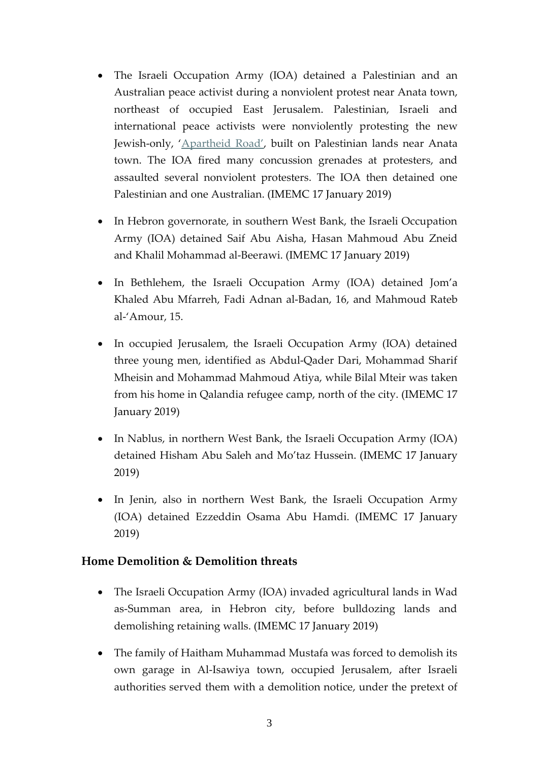- The Israeli Occupation Army (IOA) detained a Palestinian and an Australian peace activist during a nonviolent protest near Anata town, northeast of occupied East Jerusalem. Palestinian, Israeli and international peace activists were nonviolently protesting the new Jewish-only, ['Apartheid Road',](https://mondoweiss.net/2019/01/demolitions-confiscations-palestinian/) built on Palestinian lands near Anata town. The IOA fired many concussion grenades at protesters, and assaulted several nonviolent protesters. The IOA then detained one Palestinian and one Australian. (IMEMC 17 January 2019)
- In Hebron governorate, in southern West Bank, the Israeli Occupation Army (IOA) detained Saif Abu Aisha, Hasan Mahmoud Abu Zneid and Khalil Mohammad al-Beerawi. (IMEMC 17 January 2019)
- In Bethlehem, the Israeli Occupation Army (IOA) detained Jom'a Khaled Abu Mfarreh, Fadi Adnan al-Badan, 16, and Mahmoud Rateb al-'Amour, 15.
- In occupied Jerusalem, the Israeli Occupation Army (IOA) detained three young men, identified as Abdul-Qader Dari, Mohammad Sharif Mheisin and Mohammad Mahmoud Atiya, while Bilal Mteir was taken from his home in Qalandia refugee camp, north of the city. (IMEMC 17 January 2019)
- In Nablus, in northern West Bank, the Israeli Occupation Army (IOA) detained Hisham Abu Saleh and Mo'taz Hussein. (IMEMC 17 January 2019)
- In Jenin, also in northern West Bank, the Israeli Occupation Army (IOA) detained Ezzeddin Osama Abu Hamdi. (IMEMC 17 January 2019)

## **Home Demolition & Demolition threats**

- The Israeli Occupation Army (IOA) invaded agricultural lands in Wad as-Summan area, in Hebron city, before bulldozing lands and demolishing retaining walls. (IMEMC 17 January 2019)
- The family of Haitham Muhammad Mustafa was forced to demolish its own garage in Al-Isawiya town, occupied Jerusalem, after Israeli authorities served them with a demolition notice, under the pretext of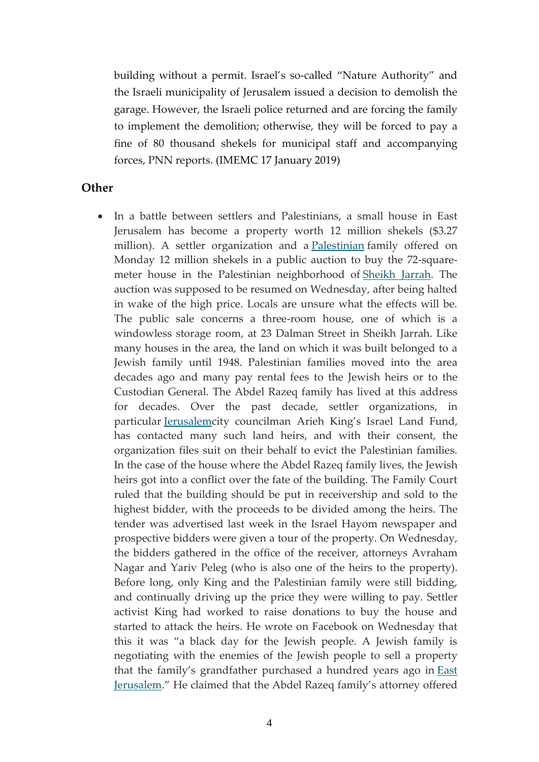building without a permit. Israel's so-called "Nature Authority" and the Israeli municipality of Jerusalem issued a decision to demolish the garage. However, the Israeli police returned and are forcing the family to implement the demolition; otherwise, they will be forced to pay a fine of 80 thousand shekels for municipal staff and accompanying forces, PNN reports. (IMEMC 17 January 2019)

#### **Other**

• In a battle between settlers and Palestinians, a small house in East Jerusalem has become a property worth 12 million shekels (\$3.27 million). A settler organization and a [Palestinian](https://www.haaretz.com/misc/tags/TAG-palestinians-1.5599089) family offered on Monday 12 million shekels in a public auction to buy the 72-squaremeter house in the Palestinian neighborhood of [Sheikh Jarrah.](http://www.haaretz.com/misc/tags/TAG-sheikh-jarrah-1.5599063) The auction was supposed to be resumed on Wednesday, after being halted in wake of the high price. Locals are unsure what the effects will be. The public sale concerns a three-room house, one of which is a windowless storage room, at 23 Dalman Street in Sheikh Jarrah. Like many houses in the area, the land on which it was built belonged to a Jewish family until 1948. Palestinian families moved into the area decades ago and many pay rental fees to the Jewish heirs or to the Custodian General. The Abdel Razeq family has lived at this address for decades. Over the past decade, settler organizations, in particular [Jerusalemc](https://www.haaretz.com/misc/tags/TAG-jerusalem-1.5598985)ity councilman Arieh King's Israel Land Fund, has contacted many such land heirs, and with their consent, the organization files suit on their behalf to evict the Palestinian families. In the case of the house where the Abdel Razeq family lives, the Jewish heirs got into a conflict over the fate of the building. The Family Court ruled that the building should be put in receivership and sold to the highest bidder, with the proceeds to be divided among the heirs. The tender was advertised last week in the Israel Hayom newspaper and prospective bidders were given a tour of the property. On Wednesday, the bidders gathered in the office of the receiver, attorneys Avraham Nagar and Yariv Peleg (who is also one of the heirs to the property). Before long, only King and the Palestinian family were still bidding, and continually driving up the price they were willing to pay. Settler activist King had worked to raise donations to buy the house and started to attack the heirs. He wrote on Facebook on Wednesday that this it was "a black day for the Jewish people. A Jewish family is negotiating with the enemies of the Jewish people to sell a property that the family's grandfather purchased a hundred years ago in [East](https://www.haaretz.com/misc/tags/TAG-east-jerusalem-1.5598917)  [Jerusalem.](https://www.haaretz.com/misc/tags/TAG-east-jerusalem-1.5598917)" He claimed that the Abdel Razeq family's attorney offered